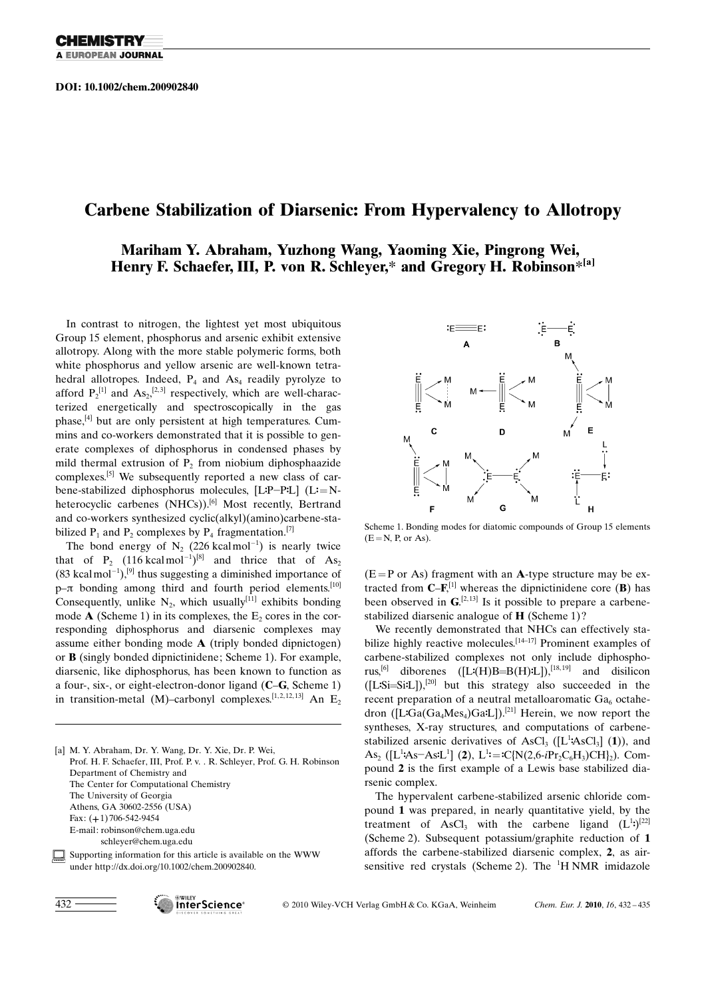### Carbene Stabilization of Diarsenic: From Hypervalency to Allotropy

### Mariham Y. Abraham, Yuzhong Wang, Yaoming Xie, Pingrong Wei, Henry F. Schaefer, III, P. von R. Schleyer,\* and Gregory H. Robinson\*[a]

In contrast to nitrogen, the lightest yet most ubiquitous Group 15 element, phosphorus and arsenic exhibit extensive allotropy. Along with the more stable polymeric forms, both white phosphorus and yellow arsenic are well-known tetrahedral allotropes. Indeed,  $P_4$  and  $As_4$  readily pyrolyze to afford  $P_2^{[1]}$  and  $As_2$ ,<sup>[2,3]</sup> respectively, which are well-characterized energetically and spectroscopically in the gas phase,[4] but are only persistent at high temperatures. Cummins and co-workers demonstrated that it is possible to generate complexes of diphosphorus in condensed phases by mild thermal extrusion of  $P_2$  from niobium diphosphaazide complexes.[5] We subsequently reported a new class of carbene-stabilized diphosphorus molecules, [LP-PL] (L=Nheterocyclic carbenes (NHCs)).<sup>[6]</sup> Most recently, Bertrand and co-workers synthesized cyclic(alkyl)(amino)carbene-stabilized  $P_1$  and  $P_2$  complexes by  $P_4$  fragmentation.<sup>[7]</sup>

The bond energy of  $N_2$  (226 kcalmol<sup>-1</sup>) is nearly twice that of  $P_2$  (116 kcalmol<sup>-1</sup>)<sup>[8]</sup> and thrice that of  $As_2$  $(83 \text{ kcal mol}^{-1})$ ,<sup>[9]</sup> thus suggesting a diminished importance of  $p-\pi$  bonding among third and fourth period elements.<sup>[10]</sup> Consequently, unlike  $N_2$ , which usually<sup>[11]</sup> exhibits bonding mode  $\bf{A}$  (Scheme 1) in its complexes, the  $E_2$  cores in the corresponding diphosphorus and diarsenic complexes may assume either bonding mode A (triply bonded dipnictogen) or B (singly bonded dipnictinidene; Scheme 1). For example, diarsenic, like diphosphorus, has been known to function as a four-, six-, or eight-electron-donor ligand (C–G, Scheme 1) in transition-metal (M)–carbonyl complexes.<sup>[1,2,12,13]</sup> An E<sub>2</sub>

[a] M. Y. Abraham, Dr. Y. Wang, Dr. Y. Xie, Dr. P. Wei, Prof. H. F. Schaefer, III, Prof. P. v. . R. Schleyer, Prof. G. H. Robinson Department of Chemistry and The Center for Computational Chemistry The University of Georgia Athens, GA 30602-2556 (USA) Fax: (+1) 706-542-9454 E-mail: robinson@chem.uga.edu schleyer@chem.uga.edu

Supporting information for this article is available on the WWW under http://dx.doi.org/10.1002/chem.200902840.



Scheme 1. Bonding modes for diatomic compounds of Group 15 elements  $(E=N, P,$  or As).

 $(E = P \text{ or } As)$  fragment with an A-type structure may be extracted from  $\mathbb{C}$ -**F**,<sup>[1]</sup> whereas the dipnictinidene core (**B**) has been observed in  $\mathbf{G}^{[2,13]}$  Is it possible to prepare a carbenestabilized diarsenic analogue of H (Scheme 1)?

We recently demonstrated that NHCs can effectively stabilize highly reactive molecules.<sup>[14-17]</sup> Prominent examples of carbene-stabilized complexes not only include diphosphorus,<sup>[6]</sup> diborenes  $([L^{\bullet}(H)B=B(H)^{\bullet}L])$ ,<sup>[18, 19]</sup> and disilicon ([LDSi=SiDL]),[20] but this strategy also succeeded in the recent preparation of a neutral metalloaromatic  $Ga<sub>6</sub>$  octahedron ( $[LGa(Ga_4Mes_4)GaL]$ ).<sup>[21]</sup> Herein, we now report the syntheses, X-ray structures, and computations of carbenestabilized arsenic derivatives of AsCl<sub>3</sub> ([ $L^1$ **:**AsCl<sub>3</sub>] (1)), and As<sub>2</sub> ([L<sup>1</sup>:As-As<sup>:</sup>L<sup>1</sup>] (2), L<sup>1</sup>:=:C{N(2,6-*i*Pr<sub>2</sub>C<sub>6</sub>H<sub>3</sub>)CH}<sub>2</sub>). Compound 2 is the first example of a Lewis base stabilized diarsenic complex.

The hypervalent carbene-stabilized arsenic chloride compound 1 was prepared, in nearly quantitative yield, by the treatment of AsCl<sub>3</sub> with the carbene ligand  $(L^1)$ <sup>[22]</sup> (Scheme 2). Subsequent potassium/graphite reduction of 1 affords the carbene-stabilized diarsenic complex, 2, as airsensitive red crystals (Scheme 2). The  ${}^{1}$ H NMR imidazole



2010 Wiley-VCH Verlag GmbH & Co. KGaA, Weinheim Chem. Eur. J. 2010, 16, 432 – 435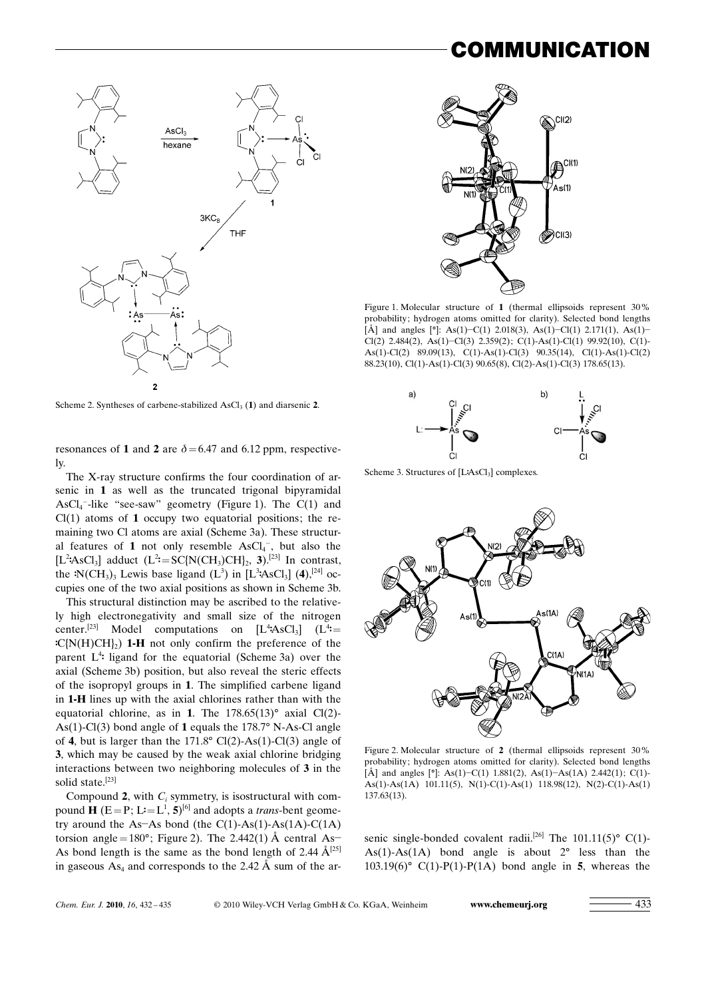## :OMMUNICATION



Scheme 2. Syntheses of carbene-stabilized  $\text{AsCl}_3$  (1) and diarsenic 2.

resonances of 1 and 2 are  $\delta$  = 6.47 and 6.12 ppm, respectively.

The X-ray structure confirms the four coordination of arsenic in 1 as well as the truncated trigonal bipyramidal  $\text{AsCl}_4$ <sup>-</sup>-like "see-saw" geometry (Figure 1). The C(1) and  $Cl(1)$  atoms of 1 occupy two equatorial positions; the remaining two Cl atoms are axial (Scheme 3a). These structural features of 1 not only resemble  $\text{AsCl}_4^-$ , but also the [L<sup>2</sup>:AsCl<sub>3</sub>] adduct (L<sup>2</sup>:=SC{N(CH<sub>3</sub>)CH}<sub>2</sub>, 3).<sup>[23]</sup> In contrast, the  $N(CH_3)$ <sub>3</sub> Lewis base ligand (L<sup>3</sup>) in [L<sup>3</sup>:AsCl<sub>3</sub>] (4),<sup>[24]</sup> occupies one of the two axial positions as shown in Scheme 3b.

This structural distinction may be ascribed to the relatively high electronegativity and small size of the nitrogen center.<sup>[23]</sup> Model computations on  $[L^4$ **AsCl<sub>3</sub>**]  $(L^4$ **=**  $C(N(H)CH)$  1-H not only confirm the preference of the parent L<sup>4</sup>: ligand for the equatorial (Scheme 3a) over the axial (Scheme 3b) position, but also reveal the steric effects of the isopropyl groups in 1. The simplified carbene ligand in 1-H lines up with the axial chlorines rather than with the equatorial chlorine, as in 1. The  $178.65(13)^\circ$  axial Cl(2)-As(1)-Cl(3) bond angle of 1 equals the  $178.7^{\circ}$  N-As-Cl angle of 4, but is larger than the  $171.8^{\circ}$  Cl(2)-As(1)-Cl(3) angle of 3, which may be caused by the weak axial chlorine bridging interactions between two neighboring molecules of 3 in the solid state.<sup>[23]</sup>

Compound 2, with  $C_i$  symmetry, is isostructural with compound **H** ( $E = P$ ;  $L = L^1$ ,  $5$ )<sup>[6]</sup> and adopts a *trans*-bent geometry around the As-As bond (the  $C(1)$ -As(1)-As(1A)-C(1A) torsion angle=180°; Figure 2). The 2.442(1)  $\AA$  central As-As bond length is the same as the bond length of 2.44  $\AA^{[25]}$ in gaseous  $As_4$  and corresponds to the 2.42 Å sum of the ar-



Figure 1. Molecular structure of 1 (thermal ellipsoids represent 30% probability; hydrogen atoms omitted for clarity). Selected bond lengths [Å] and angles  $[°]$ : As(1)–C(1) 2.018(3), As(1)–Cl(1) 2.171(1), As(1)– Cl(2) 2.484(2), As(1)-Cl(3) 2.359(2); C(1)-As(1)-Cl(1) 99.92(10), C(1)- As(1)-Cl(2) 89.09(13), C(1)-As(1)-Cl(3) 90.35(14), Cl(1)-As(1)-Cl(2) 88.23(10), Cl(1)-As(1)-Cl(3) 90.65(8), Cl(2)-As(1)-Cl(3) 178.65(13).



Scheme 3. Structures of  $[LAsCl<sub>3</sub>]$  complexes.



Figure 2. Molecular structure of 2 (thermal ellipsoids represent 30% probability; hydrogen atoms omitted for clarity). Selected bond lengths [Å] and angles  $[°]$ : As(1)–C(1) 1.881(2), As(1)–As(1A) 2.442(1); C(1)-As(1)-As(1A) 101.11(5), N(1)-C(1)-As(1) 118.98(12), N(2)-C(1)-As(1) 137.63(13).

senic single-bonded covalent radii.<sup>[26]</sup> The 101.11(5)<sup>°</sup> C(1)-As(1)-As(1A) bond angle is about  $2^{\circ}$  less than the 103.19(6)° C(1)-P(1)-P(1A) bond angle in 5, whereas the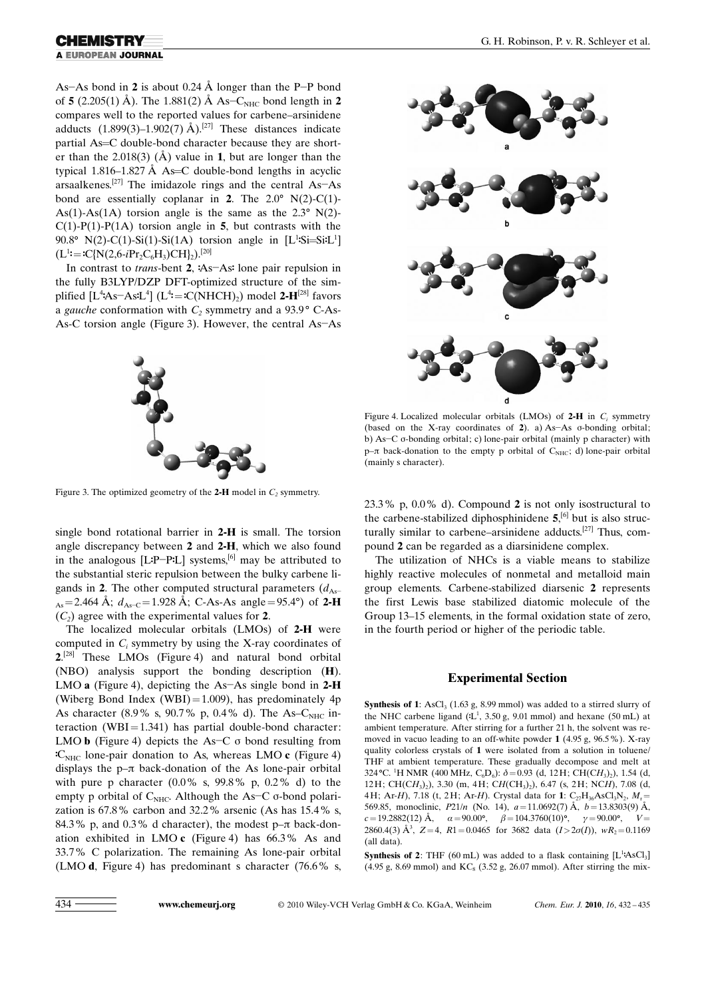## A EUROPEAN JOURNAL

As-As bond in 2 is about 0.24  $\AA$  longer than the P-P bond of 5 (2.205(1) Å). The 1.881(2) Å  $As-C<sub>NHC</sub>$  bond length in 2 compares well to the reported values for carbene–arsinidene adducts  $(1.899(3)-1.902(7)$  Å).<sup>[27]</sup> These distances indicate partial As=C double-bond character because they are shorter than the 2.018(3) ( $\AA$ ) value in 1, but are longer than the typical 1.816–1.827 Å As=C double-bond lengths in acyclic arsaalkenes.<sup>[27]</sup> The imidazole rings and the central  $As-As$ bond are essentially coplanar in 2. The  $2.0^{\circ}$  N(2)-C(1)-As(1)-As(1A) torsion angle is the same as the  $2.3^{\circ}$  N(2)- $C(1)$ -P(1)-P(1A) torsion angle in 5, but contrasts with the 90.8° N(2)-C(1)-Si(1)-Si(1A) torsion angle in  $[L^1$ :Si=Si:L<sup>1</sup>]  $(L^1:=C[N(2,6-iPr_2C_6H_3)CH]_2).$ <sup>[20]</sup>

In contrast to *trans*-bent 2, :As-As: lone pair repulsion in the fully B3LYP/DZP DFT-optimized structure of the simplified  $[L^4As-AsL^4]$   $(L^4 = C(NHCH)_2)$  model 2- $H^{[28]}$  favors a gauche conformation with  $C_2$  symmetry and a 93.9° C-As-As-C torsion angle (Figure 3). However, the central As-As



single bond rotational barrier in 2-H is small. The torsion angle discrepancy between 2 and 2-H, which we also found in the analogous [L:P-P:L] systems,<sup>[6]</sup> may be attributed to the substantial steric repulsion between the bulky carbene ligands in 2. The other computed structural parameters  $(d_{As}$  $_{As}$ =2.464 Å;  $d_{As-C}$ =1.928 Å; C-As-As angle=95.4°) of 2-H  $(C_2)$  agree with the experimental values for 2.

The localized molecular orbitals (LMOs) of 2-H were computed in  $C_i$  symmetry by using the X-ray coordinates of  $2^{[28]}$  These LMOs (Figure 4) and natural bond orbital (NBO) analysis support the bonding description (H). LMO a (Figure 4), depicting the As-As single bond in 2-H (Wiberg Bond Index (WBI)=1.009), has predominately  $4p$ As character (8.9% s, 90.7% p, 0.4% d). The As– $C_{NHC}$  interaction (WBI=1.341) has partial double-bond character: LMO  $\bf{b}$  (Figure 4) depicts the As-C  $\sigma$  bond resulting from  $C<sub>NHC</sub>$  lone-pair donation to As, whereas LMO c (Figure 4) displays the  $p-\pi$  back-donation of the As lone-pair orbital with pure p character (0.0% s, 99.8% p, 0.2% d) to the empty p orbital of  $C_{\text{NHC}}$ . Although the As-C  $\sigma$ -bond polarization is 67.8% carbon and 32.2% arsenic (As has 15.4% s, 84.3% p, and 0.3% d character), the modest  $p-\pi$  back-donation exhibited in LMO c (Figure 4) has 66.3% As and 33.7% C polarization. The remaining As lone-pair orbital (LMO d, Figure 4) has predominant s character (76.6% s,



Figure 4. Localized molecular orbitals (LMOs) of  $2-H$  in  $C_i$  symmetry (based on the X-ray coordinates of  $2$ ). a) As-As  $\sigma$ -bonding orbital; b) As-C o-bonding orbital; c) lone-pair orbital (mainly p character) with p– $\pi$  back-donation to the empty p orbital of C<sub>NHC</sub>; d) lone-pair orbital (mainly s character).

23.3% p, 0.0% d). Compound 2 is not only isostructural to the carbene-stabilized diphosphinidene  $5$ ,<sup>[6]</sup> but is also structurally similar to carbene–arsinidene adducts.[27] Thus, compound 2 can be regarded as a diarsinidene complex.

The utilization of NHCs is a viable means to stabilize highly reactive molecules of nonmetal and metalloid main group elements. Carbene-stabilized diarsenic 2 represents the first Lewis base stabilized diatomic molecule of the Group 13–15 elements, in the formal oxidation state of zero, in the fourth period or higher of the periodic table.

#### Experimental Section

Synthesis of 1: AsCl<sub>3</sub> (1.63 g, 8.99 mmol) was added to a stirred slurry of the NHC carbene ligand  $(L<sup>1</sup>, 3.50 g, 9.01 mmol)$  and hexane  $(50 mL)$  at ambient temperature. After stirring for a further 21 h, the solvent was removed in vacuo leading to an off-white powder 1 (4.95 g, 96.5%). X-ray quality colorless crystals of 1 were isolated from a solution in toluene/ THF at ambient temperature. These gradually decompose and melt at 324 °C. <sup>1</sup>H NMR (400 MHz, C<sub>6</sub>D<sub>6</sub>):  $\delta$  = 0.93 (d, 12H; CH(CH<sub>3</sub>)<sub>2</sub>), 1.54 (d, 12H; CH(CH<sub>3</sub>)<sub>2</sub>), 3.30 (m, 4H; CH(CH<sub>3</sub>)<sub>2</sub>), 6.47 (s, 2H; NCH), 7.08 (d, 4H; Ar-H), 7.18 (t, 2H; Ar-H). Crystal data for 1:  $C_{27}H_{36}AsCl_3N_2$ ,  $M_r =$ 569.85, monoclinic,  $P21/n$  (No. 14),  $a=11.0692(7)$  Å,  $b=13.8303(9)$  Å,  $c=19.2882(12)$  Å,  $\alpha=90.00^{\circ}$ ,  $\beta=104.3760(10)^{\circ}$ ,  $\gamma=90.00^{\circ}$ , 2860.4(3) Å<sup>3</sup>, Z=4, R1=0.0465 for 3682 data  $(I>2\sigma(I))$ ,  $wR_2=0.1169$ (all data).

**Synthesis of 2:** THF (60 mL) was added to a flask containing  $[L^1:ASCl_3]$ (4.95 g, 8.69 mmol) and  $KC_8$  (3.52 g, 26.07 mmol). After stirring the mix